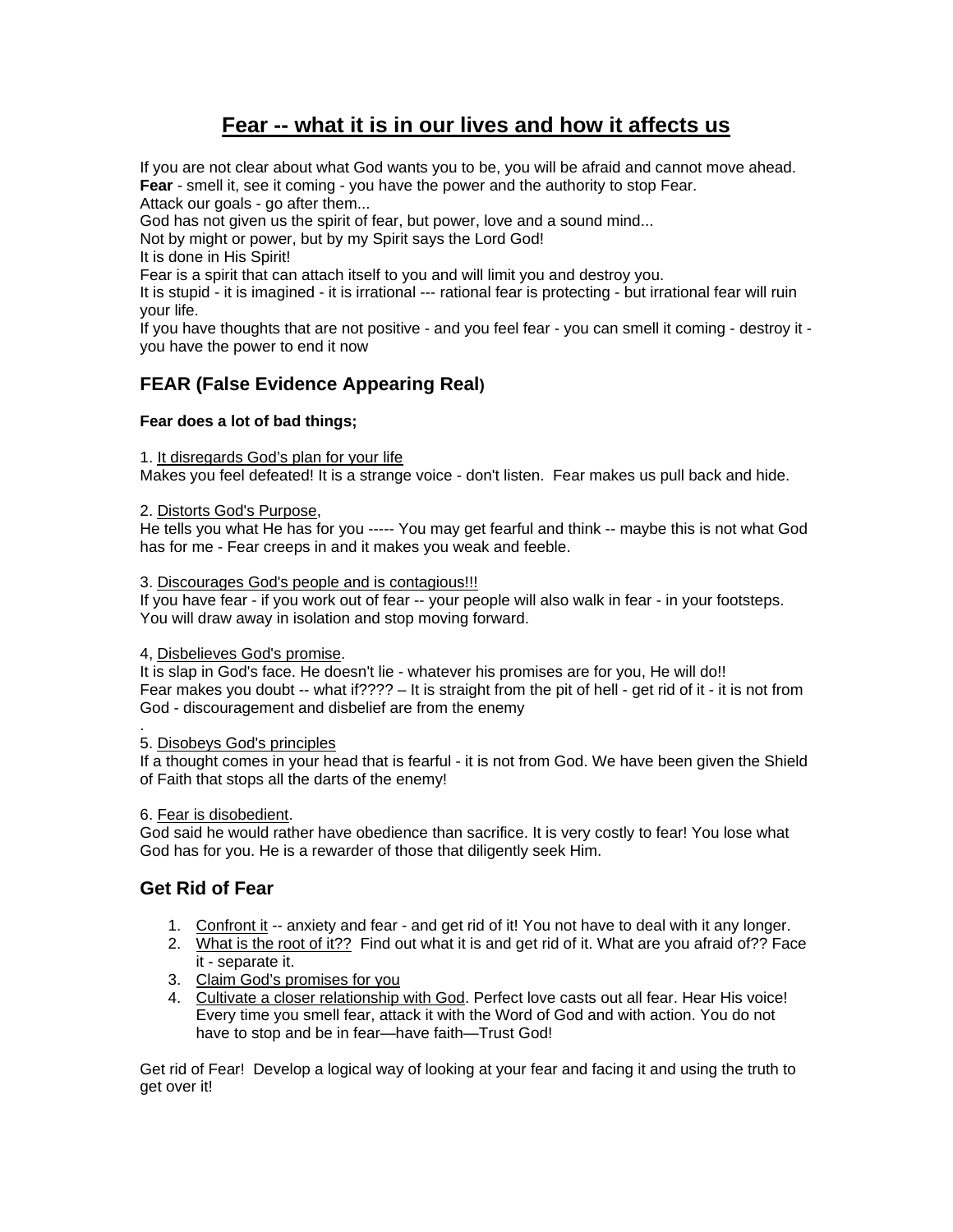# **Fear -- what it is in our lives and how it affects us**

If you are not clear about what God wants you to be, you will be afraid and cannot move ahead. **Fear** - smell it, see it coming - you have the power and the authority to stop Fear. Attack our goals - go after them...

God has not given us the spirit of fear, but power, love and a sound mind...

Not by might or power, but by my Spirit says the Lord God!

It is done in His Spirit!

Fear is a spirit that can attach itself to you and will limit you and destroy you.

It is stupid - it is imagined - it is irrational --- rational fear is protecting - but irrational fear will ruin your life.

If you have thoughts that are not positive - and you feel fear - you can smell it coming - destroy it you have the power to end it now

# **FEAR (False Evidence Appearing Real)**

## **Fear does a lot of bad things;**

1. It disregards God's plan for your life

Makes you feel defeated! It is a strange voice - don't listen. Fear makes us pull back and hide.

## 2. Distorts God's Purpose,

He tells you what He has for you ----- You may get fearful and think -- maybe this is not what God has for me - Fear creeps in and it makes you weak and feeble.

## 3. Discourages God's people and is contagious!!!

If you have fear - if you work out of fear -- your people will also walk in fear - in your footsteps. You will draw away in isolation and stop moving forward.

## 4, Disbelieves God's promise.

It is slap in God's face. He doesn't lie - whatever his promises are for you, He will do!! Fear makes you doubt -- what if???? – It is straight from the pit of hell - get rid of it - it is not from God - discouragement and disbelief are from the enemy

#### . 5. Disobeys God's principles

If a thought comes in your head that is fearful - it is not from God. We have been given the Shield of Faith that stops all the darts of the enemy!

6. Fear is disobedient.

God said he would rather have obedience than sacrifice. It is very costly to fear! You lose what God has for you. He is a rewarder of those that diligently seek Him.

# **Get Rid of Fear**

- 1. Confront it -- anxiety and fear and get rid of it! You not have to deal with it any longer.
- 2. What is the root of it?? Find out what it is and get rid of it. What are you afraid of?? Face it - separate it.
- 3. Claim God's promises for you
- 4. Cultivate a closer relationship with God. Perfect love casts out all fear. Hear His voice! Every time you smell fear, attack it with the Word of God and with action. You do not have to stop and be in fear—have faith—Trust God!

Get rid of Fear! Develop a logical way of looking at your fear and facing it and using the truth to get over it!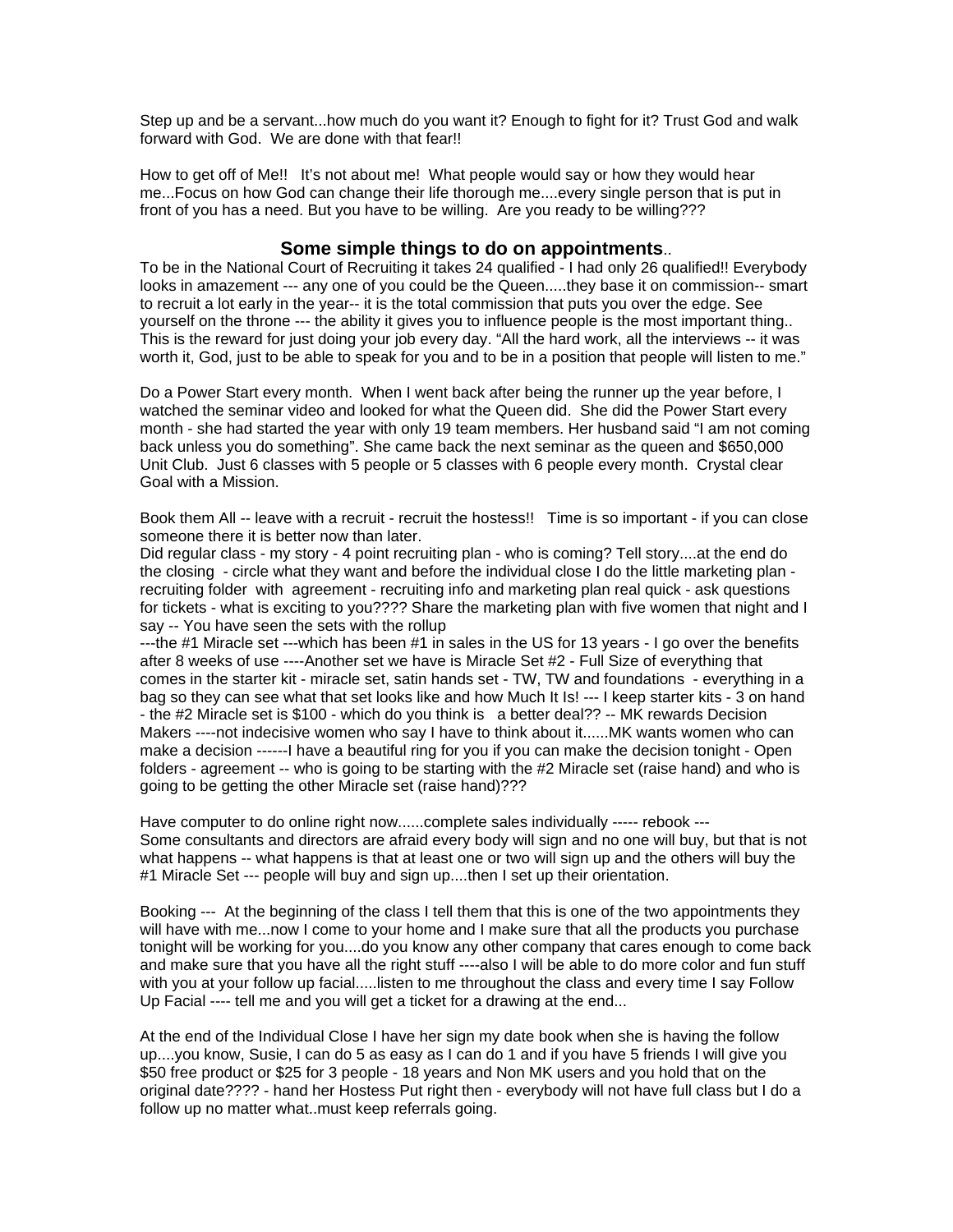Step up and be a servant...how much do you want it? Enough to fight for it? Trust God and walk forward with God. We are done with that fear!!

How to get off of Me!! It's not about me! What people would say or how they would hear me...Focus on how God can change their life thorough me....every single person that is put in front of you has a need. But you have to be willing. Are you ready to be willing???

## **Some simple things to do on appointments**..

To be in the National Court of Recruiting it takes 24 qualified - I had only 26 qualified!! Everybody looks in amazement --- any one of you could be the Queen.....they base it on commission-- smart to recruit a lot early in the year-- it is the total commission that puts you over the edge. See yourself on the throne --- the ability it gives you to influence people is the most important thing.. This is the reward for just doing your job every day. "All the hard work, all the interviews -- it was worth it, God, just to be able to speak for you and to be in a position that people will listen to me."

Do a Power Start every month. When I went back after being the runner up the year before, I watched the seminar video and looked for what the Queen did. She did the Power Start every month - she had started the year with only 19 team members. Her husband said "I am not coming back unless you do something". She came back the next seminar as the queen and \$650,000 Unit Club. Just 6 classes with 5 people or 5 classes with 6 people every month. Crystal clear Goal with a Mission.

Book them All -- leave with a recruit - recruit the hostess!! Time is so important - if you can close someone there it is better now than later.

Did regular class - my story - 4 point recruiting plan - who is coming? Tell story....at the end do the closing - circle what they want and before the individual close I do the little marketing plan recruiting folder with agreement - recruiting info and marketing plan real quick - ask questions for tickets - what is exciting to you???? Share the marketing plan with five women that night and I say -- You have seen the sets with the rollup

---the #1 Miracle set ---which has been #1 in sales in the US for 13 years - I go over the benefits after 8 weeks of use ----Another set we have is Miracle Set #2 - Full Size of everything that comes in the starter kit - miracle set, satin hands set - TW, TW and foundations - everything in a bag so they can see what that set looks like and how Much It Is! --- I keep starter kits - 3 on hand - the #2 Miracle set is \$100 - which do you think is a better deal?? -- MK rewards Decision Makers ----not indecisive women who say I have to think about it......MK wants women who can make a decision ------I have a beautiful ring for you if you can make the decision tonight - Open folders - agreement -- who is going to be starting with the #2 Miracle set (raise hand) and who is going to be getting the other Miracle set (raise hand)???

Have computer to do online right now......complete sales individually ----- rebook --- Some consultants and directors are afraid every body will sign and no one will buy, but that is not what happens -- what happens is that at least one or two will sign up and the others will buy the #1 Miracle Set --- people will buy and sign up....then I set up their orientation.

Booking --- At the beginning of the class I tell them that this is one of the two appointments they will have with me...now I come to your home and I make sure that all the products you purchase tonight will be working for you....do you know any other company that cares enough to come back and make sure that you have all the right stuff ----also I will be able to do more color and fun stuff with you at your follow up facial.....listen to me throughout the class and every time I say Follow Up Facial ---- tell me and you will get a ticket for a drawing at the end...

At the end of the Individual Close I have her sign my date book when she is having the follow up....you know, Susie, I can do 5 as easy as I can do 1 and if you have 5 friends I will give you \$50 free product or \$25 for 3 people - 18 years and Non MK users and you hold that on the original date???? - hand her Hostess Put right then - everybody will not have full class but I do a follow up no matter what..must keep referrals going.